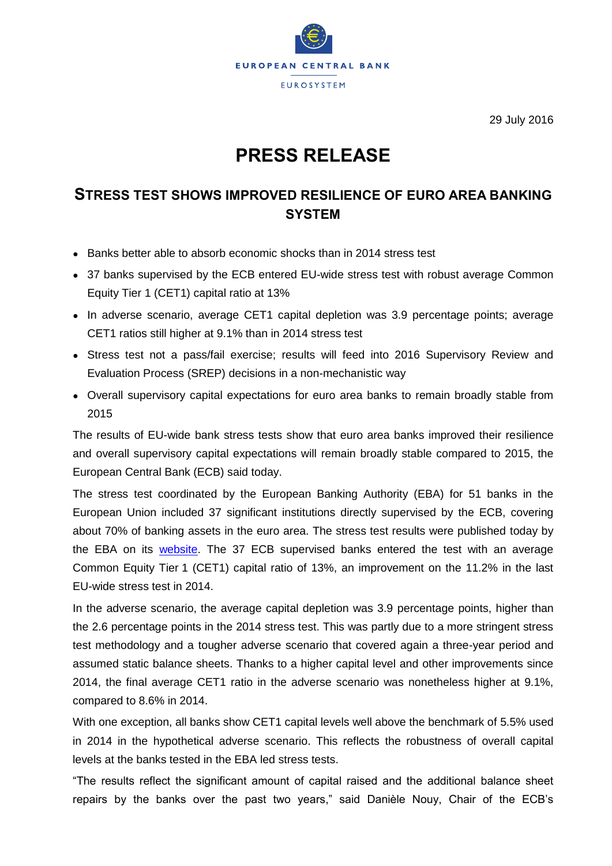

29 July 2016

## **PRESS RELEASE**

## **STRESS TEST SHOWS IMPROVED RESILIENCE OF EURO AREA BANKING SYSTEM**

- Banks better able to absorb economic shocks than in 2014 stress test
- 37 banks supervised by the ECB entered EU-wide stress test with robust average Common Equity Tier 1 (CET1) capital ratio at 13%
- In adverse scenario, average CET1 capital depletion was 3.9 percentage points; average CET1 ratios still higher at 9.1% than in 2014 stress test
- Stress test not a pass/fail exercise; results will feed into 2016 Supervisory Review and Evaluation Process (SREP) decisions in a non-mechanistic way
- Overall supervisory capital expectations for euro area banks to remain broadly stable from 2015

The results of EU-wide bank stress tests show that euro area banks improved their resilience and overall supervisory capital expectations will remain broadly stable compared to 2015, the European Central Bank (ECB) said today.

The stress test coordinated by the European Banking Authority (EBA) for 51 banks in the European Union included 37 significant institutions directly supervised by the ECB, covering about 70% of banking assets in the euro area. The stress test results were published today by the EBA on its [website.](http://www.eba.europa.eu/-/results-of-the-2016-eu-wide-stress-test) The 37 ECB supervised banks entered the test with an average Common Equity Tier 1 (CET1) capital ratio of 13%, an improvement on the 11.2% in the last EU-wide stress test in 2014.

In the adverse scenario, the average capital depletion was 3.9 percentage points, higher than the 2.6 percentage points in the 2014 stress test. This was partly due to a more stringent stress test methodology and a tougher adverse scenario that covered again a three-year period and assumed static balance sheets. Thanks to a higher capital level and other improvements since 2014, the final average CET1 ratio in the adverse scenario was nonetheless higher at 9.1%, compared to 8.6% in 2014.

With one exception, all banks show CET1 capital levels well above the benchmark of 5.5% used in 2014 in the hypothetical adverse scenario. This reflects the robustness of overall capital levels at the banks tested in the EBA led stress tests.

"The results reflect the significant amount of capital raised and the additional balance sheet repairs by the banks over the past two years," said Danièle Nouy, Chair of the ECB's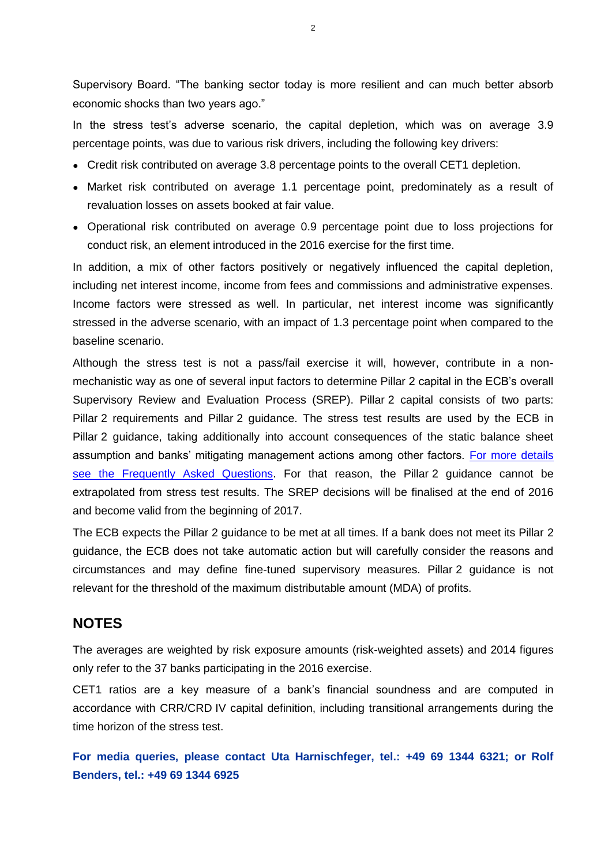Supervisory Board. "The banking sector today is more resilient and can much better absorb economic shocks than two years ago."

In the stress test's adverse scenario, the capital depletion, which was on average 3.9 percentage points, was due to various risk drivers, including the following key drivers:

- Credit risk contributed on average 3.8 percentage points to the overall CET1 depletion.
- Market risk contributed on average 1.1 percentage point, predominately as a result of revaluation losses on assets booked at fair value.
- Operational risk contributed on average 0.9 percentage point due to loss projections for conduct risk, an element introduced in the 2016 exercise for the first time.

In addition, a mix of other factors positively or negatively influenced the capital depletion, including net interest income, income from fees and commissions and administrative expenses. Income factors were stressed as well. In particular, net interest income was significantly stressed in the adverse scenario, with an impact of 1.3 percentage point when compared to the baseline scenario.

Although the stress test is not a pass/fail exercise it will, however, contribute in a nonmechanistic way as one of several input factors to determine Pillar 2 capital in the ECB's overall Supervisory Review and Evaluation Process (SREP). Pillar 2 capital consists of two parts: Pillar 2 requirements and Pillar 2 guidance. The stress test results are used by the ECB in Pillar 2 guidance, taking additionally into account consequences of the static balance sheet assumption and banks' mitigating management actions among other factors. [For more details](https://www.bankingsupervision.europa.eu/about/ssmexplained/html/stress_test_FAQ.en.html)  [see the Frequently Asked Questions.](https://www.bankingsupervision.europa.eu/about/ssmexplained/html/stress_test_FAQ.en.html) For that reason, the Pillar 2 guidance cannot be extrapolated from stress test results. The SREP decisions will be finalised at the end of 2016 and become valid from the beginning of 2017.

The ECB expects the Pillar 2 guidance to be met at all times. If a bank does not meet its Pillar 2 guidance, the ECB does not take automatic action but will carefully consider the reasons and circumstances and may define fine-tuned supervisory measures. Pillar 2 guidance is not relevant for the threshold of the maximum distributable amount (MDA) of profits.

## **NOTES**

The averages are weighted by risk exposure amounts (risk-weighted assets) and 2014 figures only refer to the 37 banks participating in the 2016 exercise.

CET1 ratios are a key measure of a bank's financial soundness and are computed in accordance with CRR/CRD IV capital definition, including transitional arrangements during the time horizon of the stress test.

**For media queries, please contact Uta Harnischfeger, tel.: +49 69 1344 6321; or Rolf Benders, tel.: +49 69 1344 6925**

 $\overline{2}$